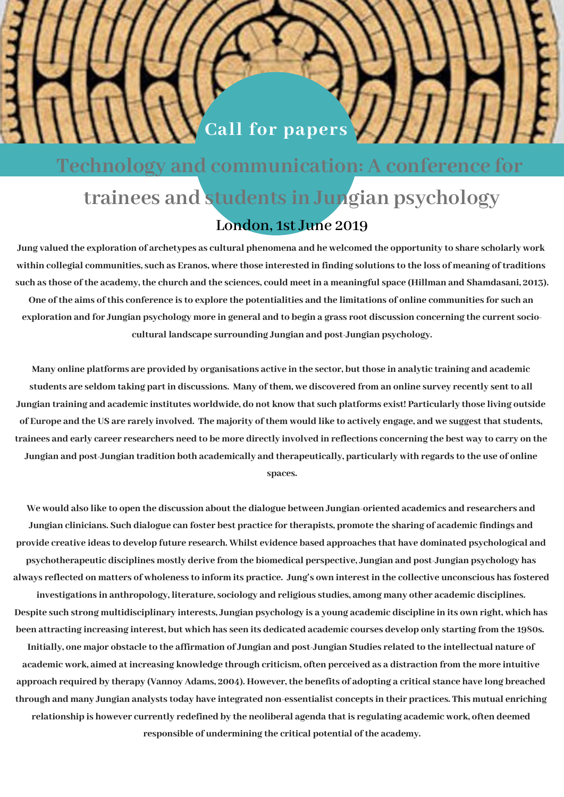## **Technology and communication: A conference for trainees and students in Jungian psychology London, 1st June 2019**

**Call for papers**

Jung valued the exploration of archetypes as cultural phenomena and he welcomed the opportunity to share scholarly work within collegial communities, such as Eranos, where those interested in finding solutions to the loss of meaning of traditions such as those of the academy, the church and the sciences, could meet in a meaningful space (Hillman and Shamdasani, 2013). One of the aims of this conference is to explore the potentialities and the limitations of online communities for such an exploration and for Jungian psychology more in general and to begin a grass root discussion concerning the current socio**cultural landscape surrounding Jungian and post-Jungian psychology.**

Many online platforms are provided by organisations active in the sector, but those in analytic training and academic students are seldom taking part in discussions. Many of them, we discovered from an online survey recently sent to all Jungian training and academic institutes worldwide, do not know that such platforms exist! Particularly those living outside of Europe and the US are rarely involved. The majority of them would like to actively engage, and we suggest that students, trainees and early career researchers need to be more directly involved in reflections concerning the best way to carry on the Jungian and post-Jungian tradition both academically and therapeutically, particularly with regards to the use of online **spaces.**

We would also like to open the discussion about the dialogue between Jungian-oriented academics and researchers and Jungian clinicians. Such dialogue can foster best practice for therapists, promote the sharing of academic findings and provide creative ideas to develop future research. Whilst evidence based approaches that have dominated psychological and **psychotherapeutic disciplines mostly derive from the biomedical perspective, Jungian and post-Jungian psychology has** always reflected on matters of wholeness to inform its practice. Jung's own interest in the collective unconscious has fostered

**investigations in anthropology, literature, sociology and religious studies, among many other academic disciplines.** Despite such strong multidisciplinary interests, Jungian psychology is a young academic discipline in its own right, which has been attracting increasing interest, but which has seen its dedicated academic courses develop only starting from the 1980s.

approach required by therapy (Vannoy Adams, 2004). However, the benefits of adopting a critical stance have long breached Initially, one major obstacle to the affirmation of Jungian and post-Jungian Studies related to the intellectual nature of academic work, aimed at increasing knowledge through criticism, often perceived as a distraction from the more intuitive through and many Jungian analysts today have integrated non-essentialist concepts in their practices. This mutual enriching relationship is however currently redefined by the neoliberal agenda that is regulating academic work, often deemed **responsible of undermining the critical potential of the academy.**